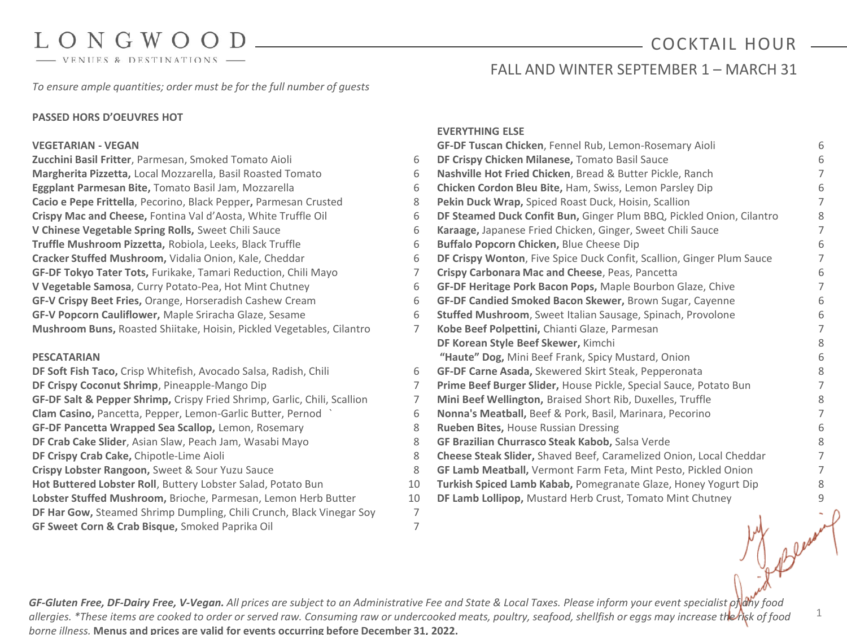- VENUES & DESTINATIONS -

## COCKTAIL HOUR

1

FALL AND WINTER SEPTEMBER 1 - MARCH 31

*To ensure ample quantities; order must be for the full number of guests*

### **PASSED HORS D'OEUVRES HOT**

#### **VEGETARIAN - VEGAN**

**Zucchini Basil Fritter**, Parmesan, Smoked Tomato Aioli 6 **Margherita Pizzetta,** Local Mozzarella, Basil Roasted Tomato 6 **Eggplant Parmesan Bite,** Tomato Basil Jam, Mozzarella 6 **Cacio e Pepe Frittella**, Pecorino, Black Pepper**,** Parmesan Crusted 8 **Crispy Mac and Cheese,** Fontina Val d'Aosta, White Truffle Oil 6 **V Chinese Vegetable Spring Rolls,** Sweet Chili Sauce 6 **Truffle Mushroom Pizzetta,** Robiola, Leeks, Black Truffle 6 **Cracker Stuffed Mushroom,** Vidalia Onion, Kale, Cheddar 6 **GF-DF Tokyo Tater Tots,** Furikake, Tamari Reduction, Chili Mayo 7 **V Vegetable Samosa**, Curry Potato-Pea, Hot Mint Chutney 6 **GF-V Crispy Beet Fries,** Orange, Horseradish Cashew Cream 6 **GF-V Popcorn Cauliflower,** Maple Sriracha Glaze, Sesame 6 **Mushroom Buns,** Roasted Shiitake, Hoisin, Pickled Vegetables, Cilantro 7

#### **PESCATARIAN**

**DF Soft Fish Taco,** Crisp Whitefish, Avocado Salsa, Radish, Chili 6 **DF Crispy Coconut Shrimp**, Pineapple-Mango Dip **GF-DF Salt & Pepper Shrimp,** Crispy Fried Shrimp, Garlic, Chili, Scallion 7 **Clam Casino,** Pancetta, Pepper, Lemon-Garlic Butter, Pernod ` 6 **GF-DF Pancetta Wrapped Sea Scallop,** Lemon, Rosemary 8 **DF Crab Cake Slider**, Asian Slaw, Peach Jam, Wasabi Mayo 8 **DF Crispy Crab Cake, Chipotle-Lime Aioli Crispy Lobster Rangoon,** Sweet & Sour Yuzu Sauce 8 Hot Buttered Lobster Roll, Buttery Lobster Salad, Potato Bun Lobster Stuffed Mushroom, Brioche, Parmesan, Lemon Herb Butter **DF Har Gow,** Steamed Shrimp Dumpling, Chili Crunch, Black Vinegar Soy 7 **GF Sweet Corn & Crab Bisque,** Smoked Paprika Oil 7

#### **EVERYTHING ELSE**

|                | <b>GF-DF Tuscan Chicken, Fennel Rub, Lemon-Rosemary Aioli</b>         | 6 |
|----------------|-----------------------------------------------------------------------|---|
| 6              | DF Crispy Chicken Milanese, Tomato Basil Sauce                        | 6 |
| 6              | Nashville Hot Fried Chicken, Bread & Butter Pickle, Ranch             | 7 |
| 6              | <b>Chicken Cordon Bleu Bite, Ham, Swiss, Lemon Parsley Dip</b>        | 6 |
| 8              | Pekin Duck Wrap, Spiced Roast Duck, Hoisin, Scallion                  | 7 |
| 6              | DF Steamed Duck Confit Bun, Ginger Plum BBQ, Pickled Onion, Cilantro  | 8 |
| 6              | Karaage, Japanese Fried Chicken, Ginger, Sweet Chili Sauce            | 7 |
| 6              | Buffalo Popcorn Chicken, Blue Cheese Dip                              | 6 |
| 6              | DF Crispy Wonton, Five Spice Duck Confit, Scallion, Ginger Plum Sauce | 7 |
| 7              | Crispy Carbonara Mac and Cheese, Peas, Pancetta                       | 6 |
| 6              | GF-DF Heritage Pork Bacon Pops, Maple Bourbon Glaze, Chive            | 7 |
| 6              | GF-DF Candied Smoked Bacon Skewer, Brown Sugar, Cayenne               | 6 |
| 6              | <b>Stuffed Mushroom, Sweet Italian Sausage, Spinach, Provolone</b>    | 6 |
| 7              | Kobe Beef Polpettini, Chianti Glaze, Parmesan                         | 7 |
|                | DF Korean Style Beef Skewer, Kimchi                                   | 8 |
|                | "Haute" Dog, Mini Beef Frank, Spicy Mustard, Onion                    | 6 |
| 6              | GF-DF Carne Asada, Skewered Skirt Steak, Pepperonata                  | 8 |
| 7              | Prime Beef Burger Slider, House Pickle, Special Sauce, Potato Bun     | 7 |
| 7              | Mini Beef Wellington, Braised Short Rib, Duxelles, Truffle            | 8 |
| 6              | Nonna's Meatball, Beef & Pork, Basil, Marinara, Pecorino              | 7 |
| 8              | <b>Rueben Bites, House Russian Dressing</b>                           | 6 |
| 8              | GF Brazilian Churrasco Steak Kabob, Salsa Verde                       | 8 |
| 8              | Cheese Steak Slider, Shaved Beef, Caramelized Onion, Local Cheddar    | 7 |
| 8              | GF Lamb Meatball, Vermont Farm Feta, Mint Pesto, Pickled Onion        | 7 |
| 10             | Turkish Spiced Lamb Kabab, Pomegranate Glaze, Honey Yogurt Dip        | 8 |
| 10             | DF Lamb Lollipop, Mustard Herb Crust, Tomato Mint Chutney             | 9 |
| $\overline{7}$ |                                                                       |   |
|                |                                                                       |   |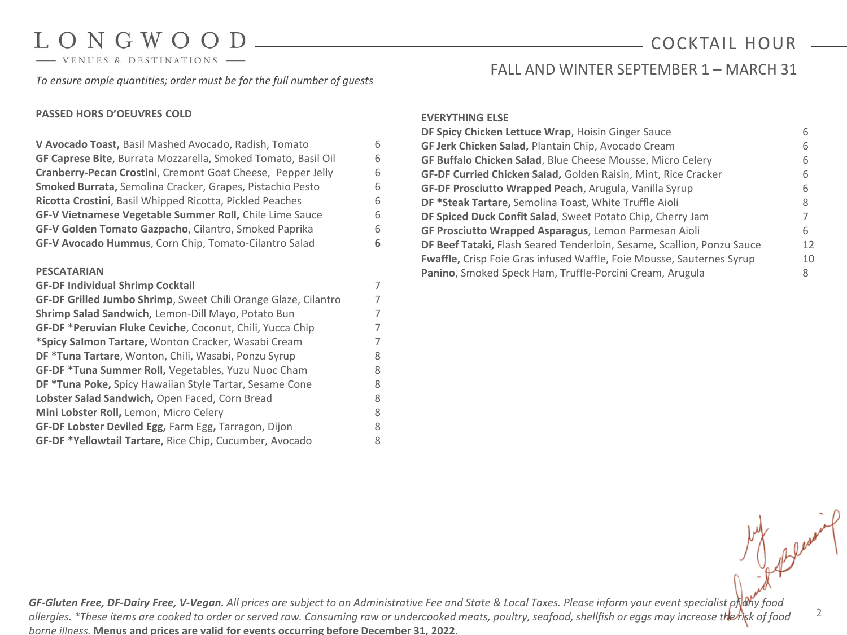- VENUES & DESTINATIONS

### *To ensure ample quantities; order must be for the full number of guests*

#### **PASSED HORS D'OEUVRES COLD**

### **V Avocado Toast,** Basil Mashed Avocado, Radish, Tomato 6 **GF Caprese Bite**, Burrata Mozzarella, Smoked Tomato, Basil Oil 6 **Cranberry-Pecan Crostini**, Cremont Goat Cheese, Pepper Jelly 6 **Smoked Burrata,** Semolina Cracker, Grapes, Pistachio Pesto 6 **Ricotta Crostini**, Basil Whipped Ricotta, Pickled Peaches 6 **GF-V Vietnamese Vegetable Summer Roll,** Chile Lime Sauce 6 **GF-V Golden Tomato Gazpacho**, Cilantro, Smoked Paprika 6 **GF-V Avocado Hummus**, Corn Chip, Tomato-Cilantro Salad **6 PESCATARIAN GF-DF Individual Shrimp Cocktail** 7 **GF-DF Grilled Jumbo Shrimp**, Sweet Chili Orange Glaze, Cilantro 7 **Shrimp Salad Sandwich,** Lemon-Dill Mayo, Potato Bun 7 **GF-DF \*Peruvian Fluke Ceviche**, Coconut, Chili, Yucca Chip 7 **\*Spicy Salmon Tartare,** Wonton Cracker, Wasabi Cream 7 **DF \*Tuna Tartare**, Wonton, Chili, Wasabi, Ponzu Syrup 8 **GF-DF \*Tuna Summer Roll,** Vegetables, Yuzu Nuoc Cham 8 **DF \*Tuna Poke, Spicy Hawaiian Style Tartar, Sesame Cone** 8 **Lobster Salad Sandwich,** Open Faced, Corn Bread 8 **Mini Lobster Roll,** Lemon, Micro Celery 8 **GF-DF Lobster Deviled Egg,** Farm Egg**,** Tarragon, Dijon 8 **GF-DF \*Yellowtail Tartare,** Rice Chip**,** Cucumber, Avocado 8

#### **EVERYTHING ELSE**

| GF Jerk Chicken Salad, Plantain Chip, Avocado Cream<br>GF Buffalo Chicken Salad, Blue Cheese Mousse, Micro Celery<br>GF-DF Curried Chicken Salad, Golden Raisin, Mint, Rice Cracker<br>GF-DF Prosciutto Wrapped Peach, Arugula, Vanilla Syrup<br>DF *Steak Tartare, Semolina Toast, White Truffle Aioli<br>DF Spiced Duck Confit Salad, Sweet Potato Chip, Cherry Jam<br>GF Prosciutto Wrapped Asparagus, Lemon Parmesan Aioli<br>DF Beef Tataki, Flash Seared Tenderloin, Sesame, Scallion, Ponzu Sauce<br>Fwaffle, Crisp Foie Gras infused Waffle, Foie Mousse, Sauternes Syrup<br>Panino, Smoked Speck Ham, Truffle-Porcini Cream, Arugula | DF Spicy Chicken Lettuce Wrap, Hoisin Ginger Sauce |    |
|-----------------------------------------------------------------------------------------------------------------------------------------------------------------------------------------------------------------------------------------------------------------------------------------------------------------------------------------------------------------------------------------------------------------------------------------------------------------------------------------------------------------------------------------------------------------------------------------------------------------------------------------------|----------------------------------------------------|----|
|                                                                                                                                                                                                                                                                                                                                                                                                                                                                                                                                                                                                                                               |                                                    | h  |
|                                                                                                                                                                                                                                                                                                                                                                                                                                                                                                                                                                                                                                               |                                                    | 6  |
|                                                                                                                                                                                                                                                                                                                                                                                                                                                                                                                                                                                                                                               |                                                    | 6  |
|                                                                                                                                                                                                                                                                                                                                                                                                                                                                                                                                                                                                                                               |                                                    | 6  |
|                                                                                                                                                                                                                                                                                                                                                                                                                                                                                                                                                                                                                                               |                                                    |    |
|                                                                                                                                                                                                                                                                                                                                                                                                                                                                                                                                                                                                                                               |                                                    |    |
|                                                                                                                                                                                                                                                                                                                                                                                                                                                                                                                                                                                                                                               |                                                    | 6  |
|                                                                                                                                                                                                                                                                                                                                                                                                                                                                                                                                                                                                                                               |                                                    | 12 |
|                                                                                                                                                                                                                                                                                                                                                                                                                                                                                                                                                                                                                                               |                                                    | 10 |
|                                                                                                                                                                                                                                                                                                                                                                                                                                                                                                                                                                                                                                               |                                                    | 8  |

FALL AND WINTER SEPTEMBER 1 – MARCH 31

*GF-Gluten Free, DF-Dairy Free, V-Vegan. All prices are subject to an Administrative Fee and State & Local Taxes. Please inform your event specialist of any food allergies. \*These items are cooked to order or served raw. Consuming raw or undercooked meats, poultry, seafood, shellfish or eggs may increase the risk of food borne illness.* **Menus and prices are valid for events occurring before December 31, 2022.**

## COCKTAIL HOUR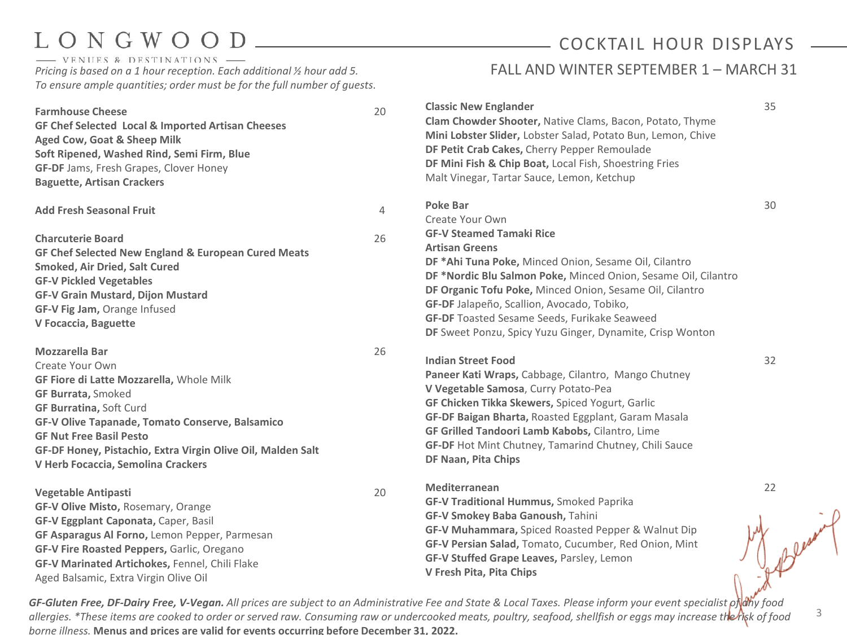- VENUES & DESTINATIONS *Pricing is based on a 1 hour reception. Each additional ½ hour add 5. To ensure ample quantities; order must be for the full number of guests*.

## COCKTAIL HOUR DISPLAYS

### FALL AND WINTER SEPTEMBER 1 - MARCH 31

| <b>Farmhouse Cheese</b><br>GF Chef Selected Local & Imported Artisan Cheeses<br>Aged Cow, Goat & Sheep Milk<br>Soft Ripened, Washed Rind, Semi Firm, Blue<br><b>GF-DF</b> Jams, Fresh Grapes, Clover Honey<br><b>Baguette, Artisan Crackers</b>                                                                                        | 20                   | <b>Classic New Englander</b><br>Clam Chowder Shooter, Native Clams, Bacon, Potato, Thyme<br>Mini Lobster Slider, Lobster Salad, Potato Bun, Lemon, Chive<br>DF Petit Crab Cakes, Cherry Pepper Remoulade<br>DF Mini Fish & Chip Boat, Local Fish, Shoestring Fries<br>Malt Vinegar, Tartar Sauce, Lemon, Ketchup                                                                                                                                        | 35 |
|----------------------------------------------------------------------------------------------------------------------------------------------------------------------------------------------------------------------------------------------------------------------------------------------------------------------------------------|----------------------|---------------------------------------------------------------------------------------------------------------------------------------------------------------------------------------------------------------------------------------------------------------------------------------------------------------------------------------------------------------------------------------------------------------------------------------------------------|----|
| <b>Add Fresh Seasonal Fruit</b><br><b>Charcuterie Board</b><br>GF Chef Selected New England & European Cured Meats<br><b>Smoked, Air Dried, Salt Cured</b><br><b>GF-V Pickled Vegetables</b><br><b>GF-V Grain Mustard, Dijon Mustard</b><br>GF-V Fig Jam, Orange Infused<br>V Focaccia, Baguette                                       | $\overline{4}$<br>26 | <b>Poke Bar</b><br>Create Your Own<br><b>GF-V Steamed Tamaki Rice</b><br><b>Artisan Greens</b><br>DF *Ahi Tuna Poke, Minced Onion, Sesame Oil, Cilantro<br>DF *Nordic Blu Salmon Poke, Minced Onion, Sesame Oil, Cilantro<br>DF Organic Tofu Poke, Minced Onion, Sesame Oil, Cilantro<br>GF-DF Jalapeño, Scallion, Avocado, Tobiko,<br><b>GF-DF</b> Toasted Sesame Seeds, Furikake Seaweed<br>DF Sweet Ponzu, Spicy Yuzu Ginger, Dynamite, Crisp Wonton | 30 |
| Mozzarella Bar<br>Create Your Own<br>GF Fiore di Latte Mozzarella, Whole Milk<br><b>GF Burrata, Smoked</b><br><b>GF Burratina, Soft Curd</b><br>GF-V Olive Tapanade, Tomato Conserve, Balsamico<br><b>GF Nut Free Basil Pesto</b><br>GF-DF Honey, Pistachio, Extra Virgin Olive Oil, Malden Salt<br>V Herb Focaccia, Semolina Crackers | 26                   | <b>Indian Street Food</b><br>Paneer Kati Wraps, Cabbage, Cilantro, Mango Chutney<br>V Vegetable Samosa, Curry Potato-Pea<br>GF Chicken Tikka Skewers, Spiced Yogurt, Garlic<br>GF-DF Baigan Bharta, Roasted Eggplant, Garam Masala<br>GF Grilled Tandoori Lamb Kabobs, Cilantro, Lime<br>GF-DF Hot Mint Chutney, Tamarind Chutney, Chili Sauce<br>DF Naan, Pita Chips                                                                                   | 32 |
| <b>Vegetable Antipasti</b><br>GF-V Olive Misto, Rosemary, Orange<br>GF-V Eggplant Caponata, Caper, Basil<br>GF Asparagus Al Forno, Lemon Pepper, Parmesan<br>GF-V Fire Roasted Peppers, Garlic, Oregano<br>GF-V Marinated Artichokes, Fennel, Chili Flake<br>Aged Balsamic, Extra Virgin Olive Oil                                     | 20                   | Mediterranean<br><b>GF-V Traditional Hummus, Smoked Paprika</b><br>GF-V Smokey Baba Ganoush, Tahini<br>GF-V Muhammara, Spiced Roasted Pepper & Walnut Dip<br>GF-V Persian Salad, Tomato, Cucumber, Red Onion, Mint<br>GF-V Stuffed Grape Leaves, Parsley, Lemon<br>V Fresh Pita, Pita Chips                                                                                                                                                             | 22 |

GF-Gluten Free, DF-Dairy Free, V-Vegan. All prices are subject to an Administrative Fee and State & Local Taxes. Please inform your event specialist of dhy food *allergies. \*These items are cooked to order or served raw. Consuming raw or undercooked meats, poultry, seafood, shellfish or eggs may increase the risk of food borne illness.* **Menus and prices are valid for events occurring before December 31, 2022.**

3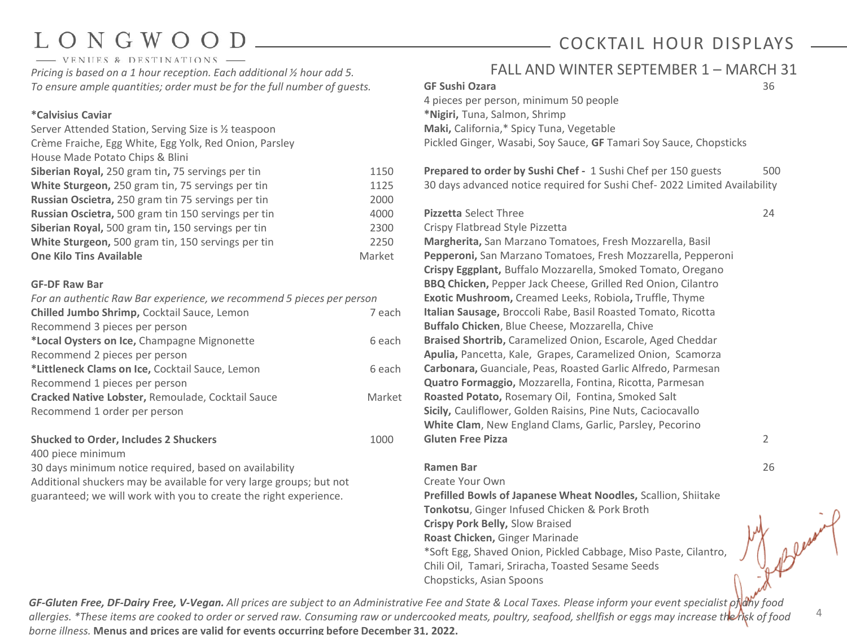# ONGWOO

COCKTAIL HOUR DISPLAYS

4

- VENUES & DESTINATIONS *Pricing is based on a 1 hour reception. Each additional ½ hour add 5. To ensure ample quantities; order must be for the full number of guests.*

### **\*Calvisius Caviar**

| Server Attended Station, Serving Size is 1/2 teaspoon  |        |
|--------------------------------------------------------|--------|
| Crème Fraiche, Egg White, Egg Yolk, Red Onion, Parsley |        |
| House Made Potato Chips & Blini                        |        |
| Siberian Royal, 250 gram tin, 75 servings per tin      | 1150   |
| White Sturgeon, 250 gram tin, 75 servings per tin      | 1125   |
| Russian Oscietra, 250 gram tin 75 servings per tin     | 2000   |
| Russian Oscietra, 500 gram tin 150 servings per tin    | 4000   |
| Siberian Royal, 500 gram tin, 150 servings per tin     | 2300   |
| White Sturgeon, 500 gram tin, 150 servings per tin     | 2250   |
| <b>One Kilo Tins Available</b>                         | Market |
|                                                        |        |

### **GF-DF Raw Bar**

| For an authentic Raw Bar experience, we recommend 5 pieces per person |        |
|-----------------------------------------------------------------------|--------|
| Chilled Jumbo Shrimp, Cocktail Sauce, Lemon                           | 7 each |
| Recommend 3 pieces per person                                         |        |
| *Local Oysters on Ice, Champagne Mignonette                           | 6 each |
| Recommend 2 pieces per person                                         |        |
| *Littleneck Clams on Ice, Cocktail Sauce, Lemon                       | 6 each |
| Recommend 1 pieces per person                                         |        |
| Cracked Native Lobster, Remoulade, Cocktail Sauce                     | Market |
| Recommend 1 order per person                                          |        |
|                                                                       |        |

### **Shucked to Order, Includes 2 Shuckers** 1000

400 piece minimum

30 days minimum notice required, based on availability Additional shuckers may be available for very large groups; but not guaranteed; we will work with you to create the right experience.

| FALL AND WINTER SEPTEMBER 1 - MARCH 31                                                                                     |     |
|----------------------------------------------------------------------------------------------------------------------------|-----|
| <b>GF Sushi Ozara</b>                                                                                                      | 36  |
| 4 pieces per person, minimum 50 people                                                                                     |     |
| *Nigiri, Tuna, Salmon, Shrimp                                                                                              |     |
| Maki, California,* Spicy Tuna, Vegetable                                                                                   |     |
| Pickled Ginger, Wasabi, Soy Sauce, GF Tamari Soy Sauce, Chopsticks                                                         |     |
| Prepared to order by Sushi Chef - 1 Sushi Chef per 150 guests                                                              | 500 |
| 30 days advanced notice required for Sushi Chef- 2022 Limited Availability                                                 |     |
| <b>Pizzetta Select Three</b>                                                                                               | 24  |
| Crispy Flatbread Style Pizzetta                                                                                            |     |
| Margherita, San Marzano Tomatoes, Fresh Mozzarella, Basil                                                                  |     |
| Pepperoni, San Marzano Tomatoes, Fresh Mozzarella, Pepperoni                                                               |     |
| Crispy Eggplant, Buffalo Mozzarella, Smoked Tomato, Oregano                                                                |     |
| BBQ Chicken, Pepper Jack Cheese, Grilled Red Onion, Cilantro                                                               |     |
| Exotic Mushroom, Creamed Leeks, Robiola, Truffle, Thyme                                                                    |     |
| Italian Sausage, Broccoli Rabe, Basil Roasted Tomato, Ricotta                                                              |     |
| Buffalo Chicken, Blue Cheese, Mozzarella, Chive                                                                            |     |
| Braised Shortrib, Caramelized Onion, Escarole, Aged Cheddar<br>Apulia, Pancetta, Kale, Grapes, Caramelized Onion, Scamorza |     |
| Carbonara, Guanciale, Peas, Roasted Garlic Alfredo, Parmesan                                                               |     |
| Quatro Formaggio, Mozzarella, Fontina, Ricotta, Parmesan                                                                   |     |
| Roasted Potato, Rosemary Oil, Fontina, Smoked Salt                                                                         |     |
| Sicily, Cauliflower, Golden Raisins, Pine Nuts, Caciocavallo                                                               |     |
| White Clam, New England Clams, Garlic, Parsley, Pecorino                                                                   |     |
| <b>Gluten Free Pizza</b>                                                                                                   | 2   |
| <b>Ramen Bar</b>                                                                                                           | 26  |
| Create Your Own                                                                                                            |     |
| Prefilled Bowls of Japanese Wheat Noodles, Scallion, Shiitake                                                              |     |
| Tonkotsu, Ginger Infused Chicken & Pork Broth                                                                              |     |

\*Soft Egg, Shaved Onion, Pickled Cabbage, Miso Paste, Cilantro,

Chili Oil, Tamari, Sriracha, Toasted Sesame Seeds

*GF-Gluten Free, DF-Dairy Free, V-Vegan. All prices are subject to an Administrative Fee and State & Local Taxes. Please inform your event specialist of any food allergies. \*These items are cooked to order or served raw. Consuming raw or undercooked meats, poultry, seafood, shellfish or eggs may increase the risk of food borne illness.* **Menus and prices are valid for events occurring before December 31, 2022.**

**Crispy Pork Belly,** Slow Braised **Roast Chicken,** Ginger Marinade

Chopsticks, Asian Spoons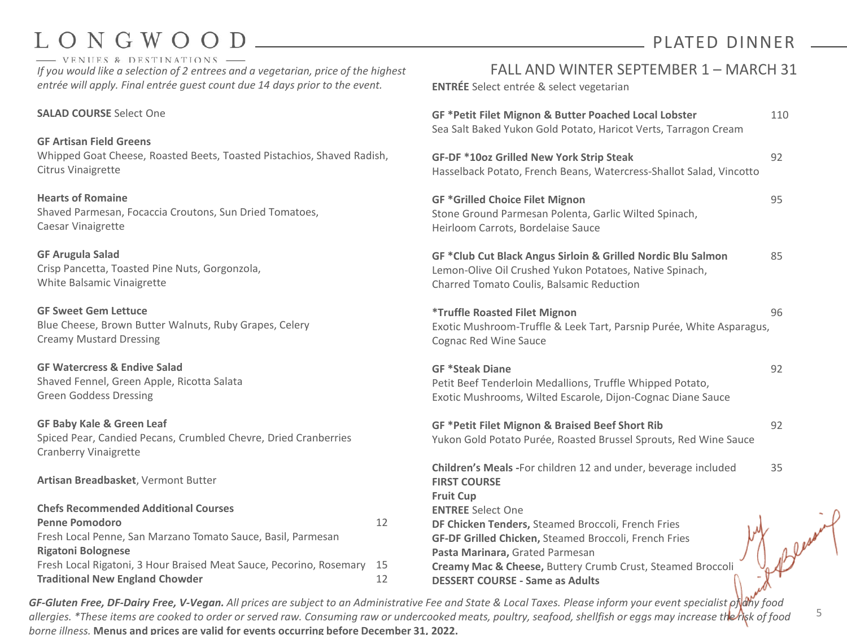- VENUES & DESTINATIONS *If you would like a selection of 2 entrees and a vegetarian, price of the highest entrée will apply. Final entrée guest count due 14 days prior to the event.* 

### **SALAD COURSE** Select One

**GF Artisan Field Greens** Whipped Goat Cheese, Roasted Beets, Toasted Pistachios, Shaved Radish, Citrus Vinaigrette

**Hearts of Romaine** Shaved Parmesan, Focaccia Croutons, Sun Dried Tomatoes, Caesar Vinaigrette

**GF Arugula Salad** Crisp Pancetta, Toasted Pine Nuts, Gorgonzola, White Balsamic Vinaigrette

**GF Sweet Gem Lettuce** Blue Cheese, Brown Butter Walnuts, Ruby Grapes, Celery Creamy Mustard Dressing

**GF Watercress & Endive Salad** Shaved Fennel, Green Apple, Ricotta Salata Green Goddess Dressing

**GF Baby Kale & Green Leaf**  Spiced Pear, Candied Pecans, Crumbled Chevre, Dried Cranberries Cranberry Vinaigrette

**Artisan Breadbasket**, Vermont Butter

| <b>Chefs Recommended Additional Courses</b>                         |     |
|---------------------------------------------------------------------|-----|
| <b>Penne Pomodoro</b>                                               | 12  |
| Fresh Local Penne, San Marzano Tomato Sauce, Basil, Parmesan        |     |
| <b>Rigatoni Bolognese</b>                                           |     |
| Fresh Local Rigatoni, 3 Hour Braised Meat Sauce, Pecorino, Rosemary | -15 |
| <b>Traditional New England Chowder</b>                              | 17  |

## FALL AND WINTER SEPTEMBER 1 – MARCH 31

PLATED DINNER

**ENTRÉE** Select entrée & select vegetarian

| GF *Petit Filet Mignon & Butter Poached Local Lobster<br>Sea Salt Baked Yukon Gold Potato, Haricot Verts, Tarragon Cream                                                                                                                                                                                                                                                                         | 110 |
|--------------------------------------------------------------------------------------------------------------------------------------------------------------------------------------------------------------------------------------------------------------------------------------------------------------------------------------------------------------------------------------------------|-----|
| GF-DF *10oz Grilled New York Strip Steak<br>Hasselback Potato, French Beans, Watercress-Shallot Salad, Vincotto                                                                                                                                                                                                                                                                                  | 92  |
| <b>GF *Grilled Choice Filet Mignon</b><br>Stone Ground Parmesan Polenta, Garlic Wilted Spinach,<br>Heirloom Carrots, Bordelaise Sauce                                                                                                                                                                                                                                                            | 95  |
| GF *Club Cut Black Angus Sirloin & Grilled Nordic Blu Salmon<br>Lemon-Olive Oil Crushed Yukon Potatoes, Native Spinach,<br>Charred Tomato Coulis, Balsamic Reduction                                                                                                                                                                                                                             | 85  |
| <i><b>*Truffle Roasted Filet Mignon</b></i><br>Exotic Mushroom-Truffle & Leek Tart, Parsnip Purée, White Asparagus,<br>Cognac Red Wine Sauce                                                                                                                                                                                                                                                     | 96  |
| <b>GF *Steak Diane</b><br>Petit Beef Tenderloin Medallions, Truffle Whipped Potato,<br>Exotic Mushrooms, Wilted Escarole, Dijon-Cognac Diane Sauce                                                                                                                                                                                                                                               | 92  |
| GF *Petit Filet Mignon & Braised Beef Short Rib<br>Yukon Gold Potato Purée, Roasted Brussel Sprouts, Red Wine Sauce                                                                                                                                                                                                                                                                              | 92  |
| Children's Meals - For children 12 and under, beverage included<br><b>FIRST COURSE</b><br><b>Fruit Cup</b><br><b>ENTREE Select One</b><br>DF Chicken Tenders, Steamed Broccoli, French Fries<br>GF-DF Grilled Chicken, Steamed Broccoli, French Fries<br>Pasta Marinara, Grated Parmesan<br>Creamy Mac & Cheese, Buttery Crumb Crust, Steamed Broccoli<br><b>DESSERT COURSE - Same as Adults</b> | 35  |

5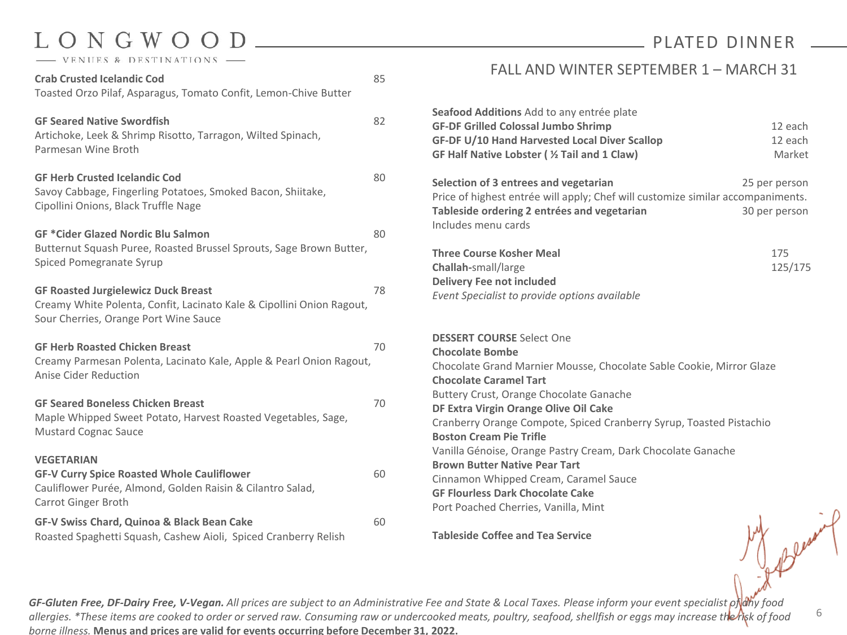## ONGWOOD VENUES & DESTINATIONS

| <b>Crab Crusted Icelandic Cod</b><br>Toasted Orzo Pilaf, Asparagus, Tomato Confit, Lemon-Chive Butter                                                        | 85 |
|--------------------------------------------------------------------------------------------------------------------------------------------------------------|----|
| <b>GF Seared Native Swordfish</b><br>Artichoke, Leek & Shrimp Risotto, Tarragon, Wilted Spinach,<br>Parmesan Wine Broth                                      | 82 |
| <b>GF Herb Crusted Icelandic Cod</b><br>Savoy Cabbage, Fingerling Potatoes, Smoked Bacon, Shiitake,<br>Cipollini Onions, Black Truffle Nage                  | 80 |
| <b>GF *Cider Glazed Nordic Blu Salmon</b><br>Butternut Squash Puree, Roasted Brussel Sprouts, Sage Brown Butter,<br>Spiced Pomegranate Syrup                 | 80 |
| <b>GF Roasted Jurgielewicz Duck Breast</b><br>Creamy White Polenta, Confit, Lacinato Kale & Cipollini Onion Ragout,<br>Sour Cherries, Orange Port Wine Sauce | 78 |
| <b>GF Herb Roasted Chicken Breast</b><br>Creamy Parmesan Polenta, Lacinato Kale, Apple & Pearl Onion Ragout,<br><b>Anise Cider Reduction</b>                 | 70 |
| <b>GF Seared Boneless Chicken Breast</b><br>Maple Whipped Sweet Potato, Harvest Roasted Vegetables, Sage,<br><b>Mustard Cognac Sauce</b>                     | 70 |
| <b>VEGETARIAN</b><br><b>GF-V Curry Spice Roasted Whole Cauliflower</b><br>Cauliflower Purée, Almond, Golden Raisin & Cilantro Salad,<br>Carrot Ginger Broth  | 60 |
| GF-V Swiss Chard, Quinoa & Black Bean Cake<br>Roasted Spaghetti Squash, Cashew Aioli, Spiced Cranberry Relish                                                | 60 |

## PLATED DINNER

### FALL AND WINTER SEPTEMBER 1 – MARCH 31

| <b>Seafood Additions</b> Add to any entrée plate<br><b>GF-DF Grilled Colossal Jumbo Shrimp</b> | 12 each       |
|------------------------------------------------------------------------------------------------|---------------|
| GF-DF U/10 Hand Harvested Local Diver Scallop                                                  | 12 each       |
| GF Half Native Lobster ( % Tail and 1 Claw)                                                    | Market        |
| Selection of 3 entrees and vegetarian                                                          | 25 per person |
| Price of highest entrée will apply; Chef will customize similar accompaniments.                |               |
| Tableside ordering 2 entrées and vegetarian<br>Includes menu cards                             | 30 per person |
| <b>Three Course Kosher Meal</b>                                                                | 175           |
| <b>Challah-</b> small/large                                                                    | 125/175       |
| <b>Delivery Fee not included</b>                                                               |               |
| Event Specialist to provide options available                                                  |               |
| <b>DESSERT COURSE Select One</b>                                                               |               |
| <b>Chocolate Bombe</b>                                                                         |               |
| Chocolate Grand Marnier Mousse, Chocolate Sable Cookie, Mirror Glaze                           |               |

Chocolate Grand Marnier Mousse, Chocolate Sable Cookie, Mirror Glaze **Chocolate Caramel Tart** Buttery Crust, Orange Chocolate Ganache **DF Extra Virgin Orange Olive Oil Cake** Cranberry Orange Compote, Spiced Cranberry Syrup, Toasted Pistachio **Boston Cream Pie Trifle** Vanilla Génoise, Orange Pastry Cream, Dark Chocolate Ganache **Brown Butter Native Pear Tart** Cinnamon Whipped Cream, Caramel Sauce **GF Flourless Dark Chocolate Cake** Port Poached Cherries, Vanilla, Mint

**Tableside Coffee and Tea Service**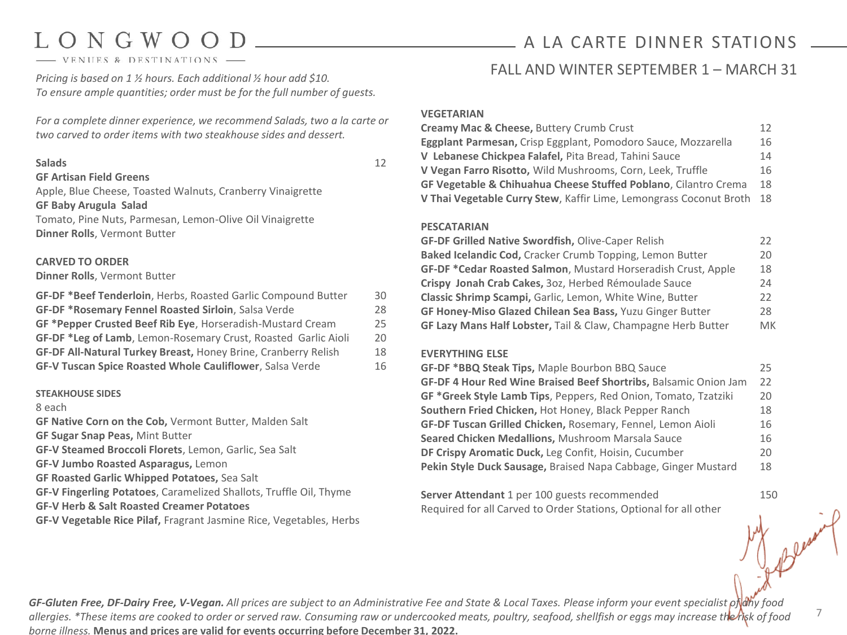- VENUES & DESTINATIONS

*Pricing is based on 1 ½ hours. Each additional ½ hour add \$10. To ensure ample quantities; order must be for the full number of guests.*

*For a complete dinner experience, we recommend Salads, two a la carte or two carved to order items with two steakhouse sides and dessert.* 

### **Salads** 12

### **GF Artisan Field Greens**

Apple, Blue Cheese, Toasted Walnuts, Cranberry Vinaigrette **GF Baby Arugula Salad** Tomato, Pine Nuts, Parmesan, Lemon-Olive Oil Vinaigrette **Dinner Rolls**, Vermont Butter

### **CARVED TO ORDER**

### **Dinner Rolls**, Vermont Butter

| GF-DF *Beef Tenderloin, Herbs, Roasted Garlic Compound Butter   | 30 |
|-----------------------------------------------------------------|----|
| <b>GF-DF *Rosemary Fennel Roasted Sirloin, Salsa Verde</b>      | 28 |
| GF *Pepper Crusted Beef Rib Eye, Horseradish-Mustard Cream      | 25 |
| GF-DF *Leg of Lamb, Lemon-Rosemary Crust, Roasted Garlic Aioli  | 20 |
| GF-DF All-Natural Turkey Breast, Honey Brine, Cranberry Relish  | 18 |
| <b>GF-V Tuscan Spice Roasted Whole Cauliflower, Salsa Verde</b> | 16 |

#### **STEAKHOUSE SIDES**

#### 8 each

**GF Native Corn on the Cob,** Vermont Butter, Malden Salt

**GF Sugar Snap Peas,** Mint Butter

**GF-V Steamed Broccoli Florets**, Lemon, Garlic, Sea Salt

**GF-V Jumbo Roasted Asparagus,** Lemon

**GF Roasted Garlic Whipped Potatoes,** Sea Salt

**GF-V Fingerling Potatoes**, Caramelized Shallots, Truffle Oil, Thyme

**GF-V Herb & Salt Roasted Creamer Potatoes**

**GF-V Vegetable Rice Pilaf,** Fragrant Jasmine Rice, Vegetables, Herbs

## A LA CARTE DINNER STATIONS

## FALL AND WINTER SEPTEMBER 1 – MARCH 31

### **VEGETARIAN**

| <b>Creamy Mac &amp; Cheese, Buttery Crumb Crust</b>                        | 12. |
|----------------------------------------------------------------------------|-----|
| Eggplant Parmesan, Crisp Eggplant, Pomodoro Sauce, Mozzarella              | 16  |
| V Lebanese Chickpea Falafel, Pita Bread, Tahini Sauce                      | 14  |
| V Vegan Farro Risotto, Wild Mushrooms, Corn, Leek, Truffle                 | 16  |
| <b>GF Vegetable &amp; Chihuahua Cheese Stuffed Poblano, Cilantro Crema</b> | 18  |
| V Thai Vegetable Curry Stew, Kaffir Lime, Lemongrass Coconut Broth 18      |     |

### **PESCATARIAN**

| <b>GF-DF Grilled Native Swordfish, Olive-Caper Relish</b>     | 22 |
|---------------------------------------------------------------|----|
| Baked Icelandic Cod, Cracker Crumb Topping, Lemon Butter      | 20 |
| GF-DF *Cedar Roasted Salmon, Mustard Horseradish Crust, Apple | 18 |
| Crispy Jonah Crab Cakes, 30z, Herbed Rémoulade Sauce          | 24 |
| Classic Shrimp Scampi, Garlic, Lemon, White Wine, Butter      |    |
| GF Honey-Miso Glazed Chilean Sea Bass, Yuzu Ginger Butter     |    |
| GF Lazy Mans Half Lobster, Tail & Claw, Champagne Herb Butter | MK |

### **EVERYTHING ELSE**

| GF-DF *BBQ Steak Tips, Maple Bourbon BBQ Sauce                     | 25 |
|--------------------------------------------------------------------|----|
| GF-DF 4 Hour Red Wine Braised Beef Shortribs, Balsamic Onion Jam   | 22 |
| GF *Greek Style Lamb Tips, Peppers, Red Onion, Tomato, Tzatziki    | 20 |
| Southern Fried Chicken, Hot Honey, Black Pepper Ranch              | 18 |
| <b>GF-DF Tuscan Grilled Chicken, Rosemary, Fennel, Lemon Aioli</b> | 16 |
| Seared Chicken Medallions, Mushroom Marsala Sauce                  | 16 |
| DF Crispy Aromatic Duck, Leg Confit, Hoisin, Cucumber              | 20 |
| Pekin Style Duck Sausage, Braised Napa Cabbage, Ginger Mustard     | 18 |

**Server Attendant** 1 per 100 guests recommended 150 Required for all Carved to Order Stations, Optional for all other

*GF-Gluten Free, DF-Dairy Free, V-Vegan. All prices are subject to an Administrative Fee and State & Local Taxes. Please inform your event specialist of any food allergies. \*These items are cooked to order or served raw. Consuming raw or undercooked meats, poultry, seafood, shellfish or eggs may increase the risk of food borne illness.* **Menus and prices are valid for events occurring before December 31, 2022.**

7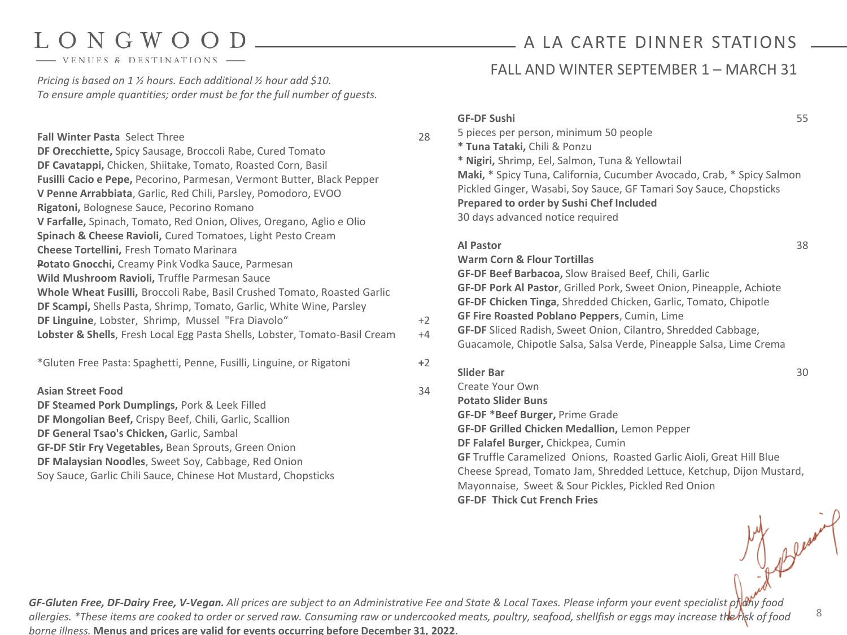- VENUES & DESTINATIONS

*Pricing is based on 1 ½ hours. Each additional ½ hour add \$10. To ensure ample quantities; order must be for the full number of guests.*

| <b>Fall Winter Pasta Select Three</b><br>DF Orecchiette, Spicy Sausage, Broccoli Rabe, Cured Tomato<br>DF Cavatappi, Chicken, Shiitake, Tomato, Roasted Corn, Basil<br>Fusilli Cacio e Pepe, Pecorino, Parmesan, Vermont Butter, Black Pepper<br>V Penne Arrabbiata, Garlic, Red Chili, Parsley, Pomodoro, EVOO<br>Rigatoni, Bolognese Sauce, Pecorino Romano<br>V Farfalle, Spinach, Tomato, Red Onion, Olives, Oregano, Aglio e Olio<br>Spinach & Cheese Ravioli, Cured Tomatoes, Light Pesto Cream | 28           | <b>GF-DF Sushi</b><br>5 pieces per person, minimum 50 people<br>* Tuna Tataki, Chili & Ponzu<br>* Nigiri, Shrimp, Eel, Salmon, Tuna & Yellowtail<br>Maki, * Spicy Tuna, California, Cucumber Avocado, Crab, * Spicy Salmon<br>Pickled Ginger, Wasabi, Soy Sauce, GF Tamari Soy Sauce, Chopsticks<br>Prepared to order by Sushi Chef Included<br>30 days advanced notice required                                                                      | 55 |
|-------------------------------------------------------------------------------------------------------------------------------------------------------------------------------------------------------------------------------------------------------------------------------------------------------------------------------------------------------------------------------------------------------------------------------------------------------------------------------------------------------|--------------|-------------------------------------------------------------------------------------------------------------------------------------------------------------------------------------------------------------------------------------------------------------------------------------------------------------------------------------------------------------------------------------------------------------------------------------------------------|----|
| <b>Cheese Tortellini, Fresh Tomato Marinara</b><br>Potato Gnocchi, Creamy Pink Vodka Sauce, Parmesan<br>Wild Mushroom Ravioli, Truffle Parmesan Sauce<br>Whole Wheat Fusilli, Broccoli Rabe, Basil Crushed Tomato, Roasted Garlic<br>DF Scampi, Shells Pasta, Shrimp, Tomato, Garlic, White Wine, Parsley<br>DF Linguine, Lobster, Shrimp, Mussel "Fra Diavolo"<br>Lobster & Shells, Fresh Local Egg Pasta Shells, Lobster, Tomato-Basil Cream                                                        | $+2$<br>$+4$ | <b>Al Pastor</b><br><b>Warm Corn &amp; Flour Tortillas</b><br>GF-DF Beef Barbacoa, Slow Braised Beef, Chili, Garlic<br>GF-DF Pork Al Pastor, Grilled Pork, Sweet Onion, Pineapple, Achiote<br>GF-DF Chicken Tinga, Shredded Chicken, Garlic, Tomato, Chipotle<br>GF Fire Roasted Poblano Peppers, Cumin, Lime<br>GF-DF Sliced Radish, Sweet Onion, Cilantro, Shredded Cabbage,<br>Guacamole, Chipotle Salsa, Salsa Verde, Pineapple Salsa, Lime Crema | 38 |
| *Gluten Free Pasta: Spaghetti, Penne, Fusilli, Linguine, or Rigatoni<br><b>Asian Street Food</b><br>DF Steamed Pork Dumplings, Pork & Leek Filled<br>DF Mongolian Beef, Crispy Beef, Chili, Garlic, Scallion<br>DF General Tsao's Chicken, Garlic, Sambal<br>GF-DF Stir Fry Vegetables, Bean Sprouts, Green Onion<br>DF Malaysian Noodles, Sweet Soy, Cabbage, Red Onion<br>Soy Sauce, Garlic Chili Sauce, Chinese Hot Mustard, Chopsticks                                                            | $+2$<br>34   | <b>Slider Bar</b><br>Create Your Own<br><b>Potato Slider Buns</b><br>GF-DF *Beef Burger, Prime Grade<br><b>GF-DF Grilled Chicken Medallion, Lemon Pepper</b><br>DF Falafel Burger, Chickpea, Cumin<br>GF Truffle Caramelized Onions, Roasted Garlic Aioli, Great Hill Blue<br>Cheese Spread, Tomato Jam, Shredded Lettuce, Ketchup, Dijon Mustard,<br>Mayonnaise, Sweet & Sour Pickles, Pickled Red Onion<br><b>GF-DF Thick Cut French Fries</b>      | 30 |

A LA CARTE DINNER STATIONS

## FALL AND WINTER SEPTEMBER 1 - MARCH 31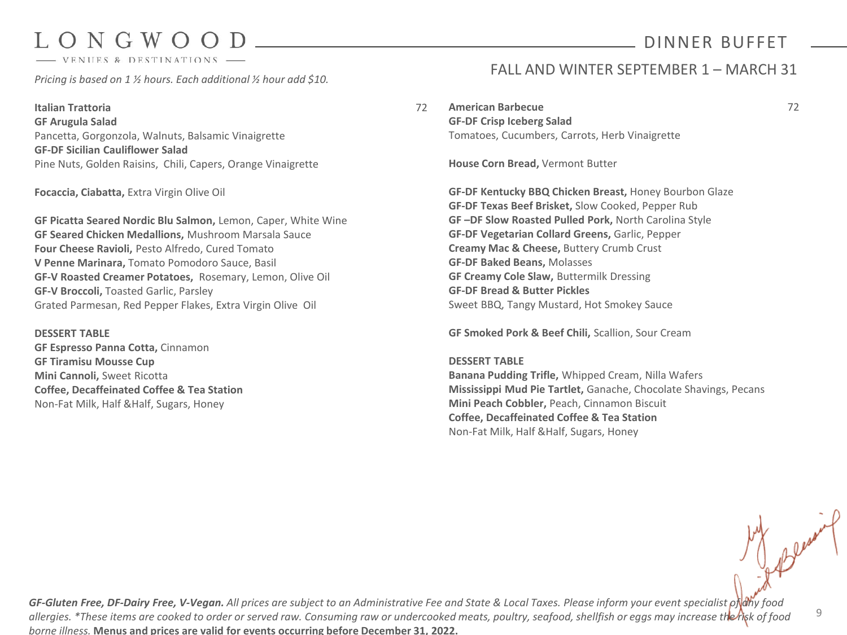# ONGWOO

- VENUES & DESTINATIONS

*Pricing is based on 1 ½ hours. Each additional ½ hour add \$10.*

**Italian Trattoria** 72 **GF Arugula Salad** Pancetta, Gorgonzola, Walnuts, Balsamic Vinaigrette **GF-DF Sicilian Cauliflower Salad** Pine Nuts, Golden Raisins, Chili, Capers, Orange Vinaigrette

### **Focaccia, Ciabatta,** Extra Virgin Olive Oil

**GF Picatta Seared Nordic Blu Salmon,** Lemon, Caper, White Wine **GF Seared Chicken Medallions,** Mushroom Marsala Sauce **Four Cheese Ravioli,** Pesto Alfredo, Cured Tomato **V Penne Marinara,** Tomato Pomodoro Sauce, Basil **GF-V Roasted Creamer Potatoes,** Rosemary, Lemon, Olive Oil **GF-V Broccoli,** Toasted Garlic, Parsley Grated Parmesan, Red Pepper Flakes, Extra Virgin Olive Oil

**DESSERT TABLE GF Espresso Panna Cotta,** Cinnamon **GF Tiramisu Mousse Cup Mini Cannoli,** Sweet Ricotta **Coffee, Decaffeinated Coffee & Tea Station** Non-Fat Milk, Half &Half, Sugars, Honey

## FALL AND WINTER SEPTEMBER 1 – MARCH 31

DINNER BUFFET

**American Barbecue** 72

**GF-DF Crisp Iceberg Salad** Tomatoes, Cucumbers, Carrots, Herb Vinaigrette

**House Corn Bread,** Vermont Butter

**GF-DF Kentucky BBQ Chicken Breast,** Honey Bourbon Glaze **GF-DF Texas Beef Brisket,** Slow Cooked, Pepper Rub **GF –DF Slow Roasted Pulled Pork,** North Carolina Style **GF-DF Vegetarian Collard Greens,** Garlic, Pepper **Creamy Mac & Cheese,** Buttery Crumb Crust **GF-DF Baked Beans,** Molasses **GF Creamy Cole Slaw,** Buttermilk Dressing **GF-DF Bread & Butter Pickles** Sweet BBQ, Tangy Mustard, Hot Smokey Sauce

**GF Smoked Pork & Beef Chili,** Scallion, Sour Cream

### **DESSERT TABLE**

**Banana Pudding Trifle,** Whipped Cream, Nilla Wafers **Mississippi Mud Pie Tartlet,** Ganache, Chocolate Shavings, Pecans **Mini Peach Cobbler,** Peach, Cinnamon Biscuit **Coffee, Decaffeinated Coffee & Tea Station** Non-Fat Milk, Half &Half, Sugars, Honey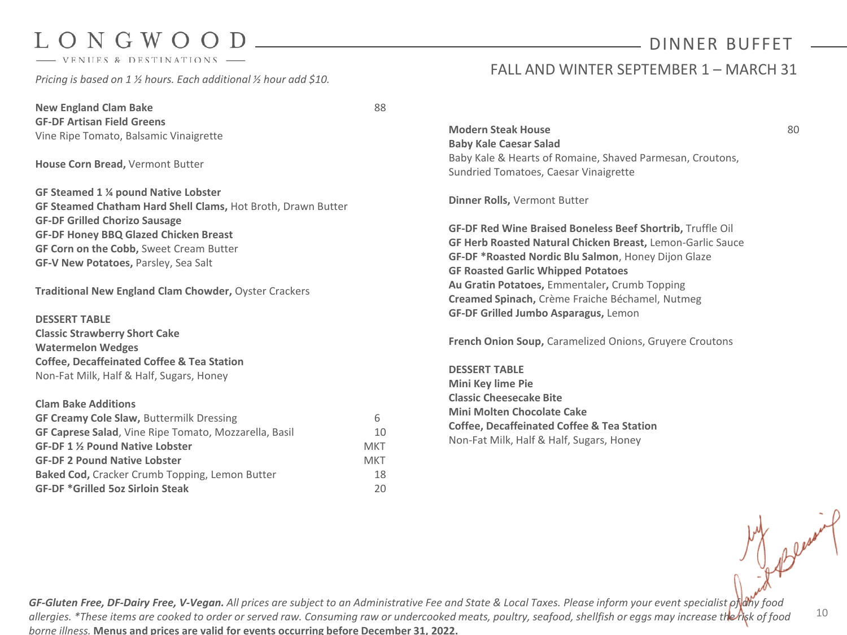- VENUES & DESTINATIONS

*Pricing is based on 1 ½ hours. Each additional ½ hour add \$10.* 

**New England Clam Bake** 88 **GF-DF Artisan Field Greens** Vine Ripe Tomato, Balsamic Vinaigrette

**House Corn Bread,** Vermont Butter

**GF Steamed 1 ¼ pound Native Lobster GF Steamed Chatham Hard Shell Clams,** Hot Broth, Drawn Butter **GF-DF Grilled Chorizo Sausage GF-DF Honey BBQ Glazed Chicken Breast GF Corn on the Cobb,** Sweet Cream Butter **GF-V New Potatoes,** Parsley, Sea Salt

**Traditional New England Clam Chowder,** Oyster Crackers

**DESSERT TABLE Classic Strawberry Short Cake Watermelon Wedges Coffee, Decaffeinated Coffee & Tea Station** Non-Fat Milk, Half & Half, Sugars, Honey

### **Clam Bake Additions**

| <b>GF Creamy Cole Slaw, Buttermilk Dressing</b>              | 6   |
|--------------------------------------------------------------|-----|
| <b>GF Caprese Salad, Vine Ripe Tomato, Mozzarella, Basil</b> | 10  |
| GF-DF 1 % Pound Native Lobster                               | MKT |
| <b>GF-DF 2 Pound Native Lobster</b>                          | MKT |
| Baked Cod, Cracker Crumb Topping, Lemon Butter               | 18  |
| <b>GF-DF *Grilled 5oz Sirloin Steak</b>                      | 20. |

## DINNER BUFFET

### FALL AND WINTER SEPTEMBER 1 – MARCH 31

**Modern Steak House** 80 **80 Baby Kale Caesar Salad** Baby Kale & Hearts of Romaine, Shaved Parmesan, Croutons, Sundried Tomatoes, Caesar Vinaigrette

**Dinner Rolls,** Vermont Butter

**GF-DF Red Wine Braised Boneless Beef Shortrib,** Truffle Oil **GF Herb Roasted Natural Chicken Breast,** Lemon-Garlic Sauce **GF-DF \*Roasted Nordic Blu Salmon**, Honey Dijon Glaze **GF Roasted Garlic Whipped Potatoes Au Gratin Potatoes,** Emmentaler**,** Crumb Topping **Creamed Spinach,** Crème Fraiche Béchamel, Nutmeg **GF-DF Grilled Jumbo Asparagus,** Lemon

**French Onion Soup,** Caramelized Onions, Gruyere Croutons

**DESSERT TABLE Mini Key lime Pie Classic Cheesecake Bite Mini Molten Chocolate Cake Coffee, Decaffeinated Coffee & Tea Station** Non-Fat Milk, Half & Half, Sugars, Honey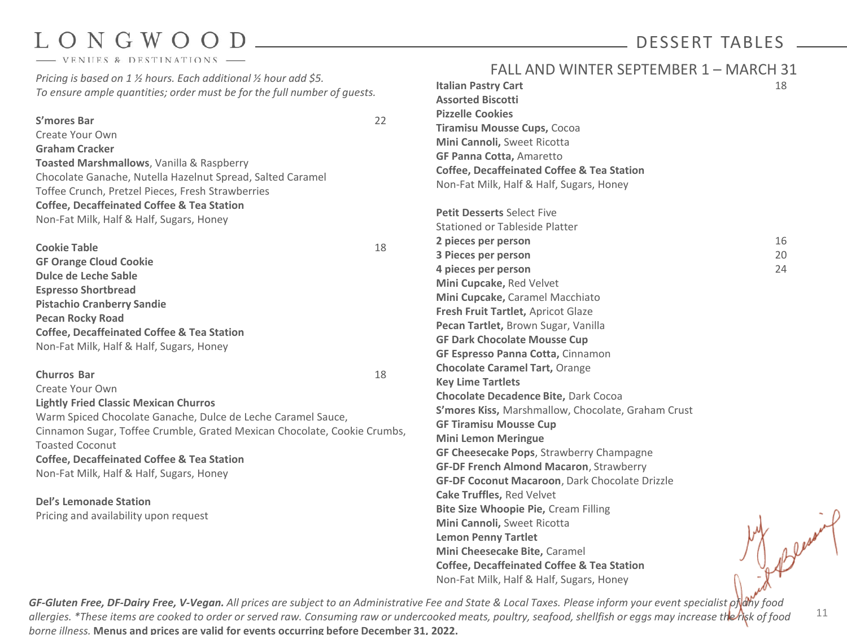- VENUES & DESTINATIONS

*Pricing is based on 1 ½ hours. Each additional ½ hour add \$5. To ensure ample quantities; order must be for the full number of guests.*

### **S'mores Bar** 22

Create Your Own

**Graham Cracker Toasted Marshmallows**, Vanilla & Raspberry Chocolate Ganache, Nutella Hazelnut Spread, Salted Caramel Toffee Crunch, Pretzel Pieces, Fresh Strawberries **Coffee, Decaffeinated Coffee & Tea Station** Non-Fat Milk, Half & Half, Sugars, Honey

| <b>Cookie Table</b>                                   | 18 |
|-------------------------------------------------------|----|
| <b>GF Orange Cloud Cookie</b>                         |    |
| <b>Dulce de Leche Sable</b>                           |    |
| <b>Espresso Shortbread</b>                            |    |
| <b>Pistachio Cranberry Sandie</b>                     |    |
| <b>Pecan Rocky Road</b>                               |    |
| <b>Coffee, Decaffeinated Coffee &amp; Tea Station</b> |    |
| Non-Fat Milk, Half & Half, Sugars, Honey              |    |
|                                                       |    |

### **Churros Bar** 18

Create Your Own

**Lightly Fried Classic Mexican Churros** Warm Spiced Chocolate Ganache, Dulce de Leche Caramel Sauce, Cinnamon Sugar, Toffee Crumble, Grated Mexican Chocolate, Cookie Crumbs, Toasted Coconut **Coffee, Decaffeinated Coffee & Tea Station** Non-Fat Milk, Half & Half, Sugars, Honey

**Del's Lemonade Station** Pricing and availability upon request

## FALL AND WINTER SEPTEMBER 1 – MARCH 31

DESSERT TABLES

|    | <b>Italian Pastry Cart</b>                            | 18 |
|----|-------------------------------------------------------|----|
|    | <b>Assorted Biscotti</b>                              |    |
|    | <b>Pizzelle Cookies</b>                               |    |
|    | Tiramisu Mousse Cups, Cocoa                           |    |
|    | Mini Cannoli, Sweet Ricotta                           |    |
|    | GF Panna Cotta, Amaretto                              |    |
|    | <b>Coffee, Decaffeinated Coffee &amp; Tea Station</b> |    |
|    | Non-Fat Milk, Half & Half, Sugars, Honey              |    |
|    | <b>Petit Desserts Select Five</b>                     |    |
|    | Stationed or Tableside Platter                        |    |
|    | 2 pieces per person                                   | 16 |
|    | 3 Pieces per person                                   | 20 |
|    | 4 pieces per person                                   | 24 |
|    | Mini Cupcake, Red Velvet                              |    |
|    | Mini Cupcake, Caramel Macchiato                       |    |
|    | Fresh Fruit Tartlet, Apricot Glaze                    |    |
|    | Pecan Tartlet, Brown Sugar, Vanilla                   |    |
|    | <b>GF Dark Chocolate Mousse Cup</b>                   |    |
|    | GF Espresso Panna Cotta, Cinnamon                     |    |
|    | <b>Chocolate Caramel Tart, Orange</b>                 |    |
|    | <b>Key Lime Tartlets</b>                              |    |
|    | Chocolate Decadence Bite, Dark Cocoa                  |    |
|    | S'mores Kiss, Marshmallow, Chocolate, Graham Crust    |    |
| Ŝ, | <b>GF Tiramisu Mousse Cup</b>                         |    |
|    | <b>Mini Lemon Meringue</b>                            |    |
|    | GF Cheesecake Pops, Strawberry Champagne              |    |
|    | <b>GF-DF French Almond Macaron, Strawberry</b>        |    |
|    | GF-DF Coconut Macaroon, Dark Chocolate Drizzle        |    |
|    | <b>Cake Truffles, Red Velvet</b>                      |    |
|    | <b>Bite Size Whoopie Pie, Cream Filling</b>           |    |
|    | Mini Cannoli, Sweet Ricotta                           |    |
|    | <b>Lemon Penny Tartlet</b>                            |    |
|    | Mini Cheesecake Bite, Caramel                         |    |
|    | <b>Coffee, Decaffeinated Coffee &amp; Tea Station</b> |    |
|    | Non-Fat Milk, Half & Half, Sugars, Honey              |    |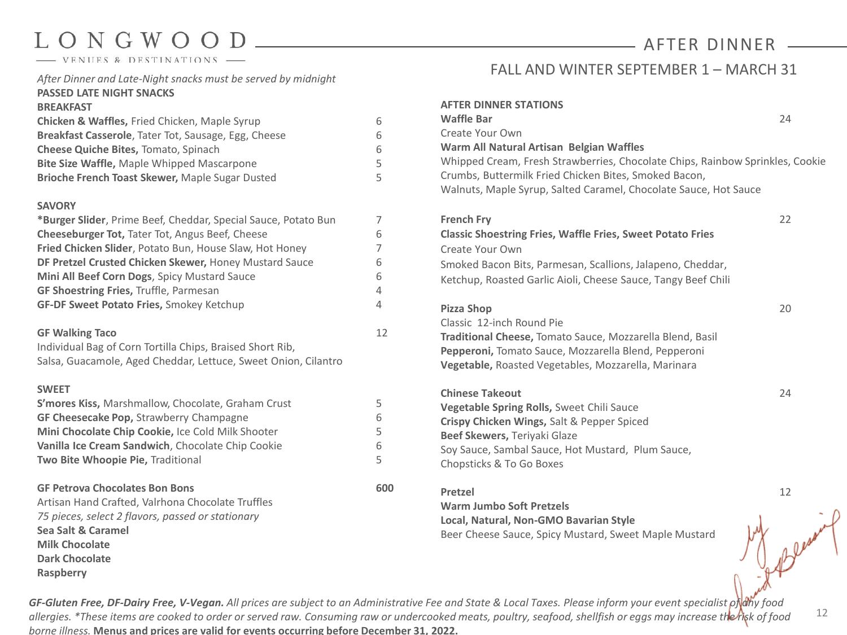- VENUES & DESTINATIONS

*After Dinner and Late-Night snacks must be served by midnight* **PASSED LATE NIGHT SNACKS**

### **BREAKFAST**

| Chicken & Waffles, Fried Chicken, Maple Syrup        | 6 |
|------------------------------------------------------|---|
| Breakfast Casserole, Tater Tot, Sausage, Egg, Cheese | 6 |
| <b>Cheese Quiche Bites, Tomato, Spinach</b>          | 6 |
| <b>Bite Size Waffle, Maple Whipped Mascarpone</b>    | 5 |
| Brioche French Toast Skewer, Maple Sugar Dusted      |   |

### **SAVORY**

| *Burger Slider, Prime Beef, Cheddar, Special Sauce, Potato Bun |    |
|----------------------------------------------------------------|----|
| <b>Cheeseburger Tot, Tater Tot, Angus Beef, Cheese</b>         | 6  |
| Fried Chicken Slider, Potato Bun, House Slaw, Hot Honey        |    |
| DF Pretzel Crusted Chicken Skewer, Honey Mustard Sauce         | 6  |
| Mini All Beef Corn Dogs, Spicy Mustard Sauce                   | 6  |
| <b>GF Shoestring Fries, Truffle, Parmesan</b>                  | 4  |
| GF-DF Sweet Potato Fries, Smokey Ketchup                       | 4  |
|                                                                |    |
| <b>GF Walking Taco</b>                                         | 12 |
| Individual Bag of Corn Tortilla Chips, Braised Short Rib,      |    |

Salsa, Guacamole, Aged Cheddar, Lettuce, Sweet Onion, Cilantro

### **SWEET**

| S'mores Kiss, Marshmallow, Chocolate, Graham Crust                                                                                                                                                                                          | 5   |
|---------------------------------------------------------------------------------------------------------------------------------------------------------------------------------------------------------------------------------------------|-----|
| <b>GF Cheesecake Pop, Strawberry Champagne</b>                                                                                                                                                                                              | 6   |
| Mini Chocolate Chip Cookie, Ice Cold Milk Shooter                                                                                                                                                                                           | 5   |
| Vanilla Ice Cream Sandwich, Chocolate Chip Cookie                                                                                                                                                                                           | 6   |
| <b>Two Bite Whoopie Pie, Traditional</b>                                                                                                                                                                                                    | 5   |
| <b>GF Petrova Chocolates Bon Bons</b><br>Artisan Hand Crafted, Valrhona Chocolate Truffles<br>75 pieces, select 2 flavors, passed or stationary<br>Sea Salt & Caramel<br><b>Milk Chocolate</b><br><b>Dark Chocolate</b><br><b>Raspberry</b> | 600 |

## FALL AND WINTER SEPTEMBER 1 - MARCH 31

AFTER DINNER

| <b>AFTER DINNER STATIONS</b><br><b>Waffle Bar</b><br>Create Your Own                                                                                                                                                                                   | 24 |
|--------------------------------------------------------------------------------------------------------------------------------------------------------------------------------------------------------------------------------------------------------|----|
| Warm All Natural Artisan Belgian Waffles<br>Whipped Cream, Fresh Strawberries, Chocolate Chips, Rainbow Sprinkles, Cookie<br>Crumbs, Buttermilk Fried Chicken Bites, Smoked Bacon,<br>Walnuts, Maple Syrup, Salted Caramel, Chocolate Sauce, Hot Sauce |    |
| <b>French Fry</b><br><b>Classic Shoestring Fries, Waffle Fries, Sweet Potato Fries</b><br>Create Your Own<br>Smoked Bacon Bits, Parmesan, Scallions, Jalapeno, Cheddar,<br>Ketchup, Roasted Garlic Aioli, Cheese Sauce, Tangy Beef Chili               | 22 |
| <b>Pizza Shop</b><br>Classic, 12-inch Round Pie<br>Traditional Cheese, Tomato Sauce, Mozzarella Blend, Basil<br>Pepperoni, Tomato Sauce, Mozzarella Blend, Pepperoni<br><b>Vegetable, Roasted Vegetables, Mozzarella, Marinara</b>                     | 20 |
| <b>Chinese Takeout</b><br>Vegetable Spring Rolls, Sweet Chili Sauce<br>Crispy Chicken Wings, Salt & Pepper Spiced<br>Beef Skewers, Teriyaki Glaze<br>Soy Sauce, Sambal Sauce, Hot Mustard, Plum Sauce,<br>Chopsticks & To Go Boxes                     | 24 |
| Pretzel<br><b>Warm Jumbo Soft Pretzels</b><br>Local, Natural, Non-GMO Bavarian Style<br>Beer Cheese Sauce, Spicy Mustard, Sweet Maple Mustard                                                                                                          | 12 |